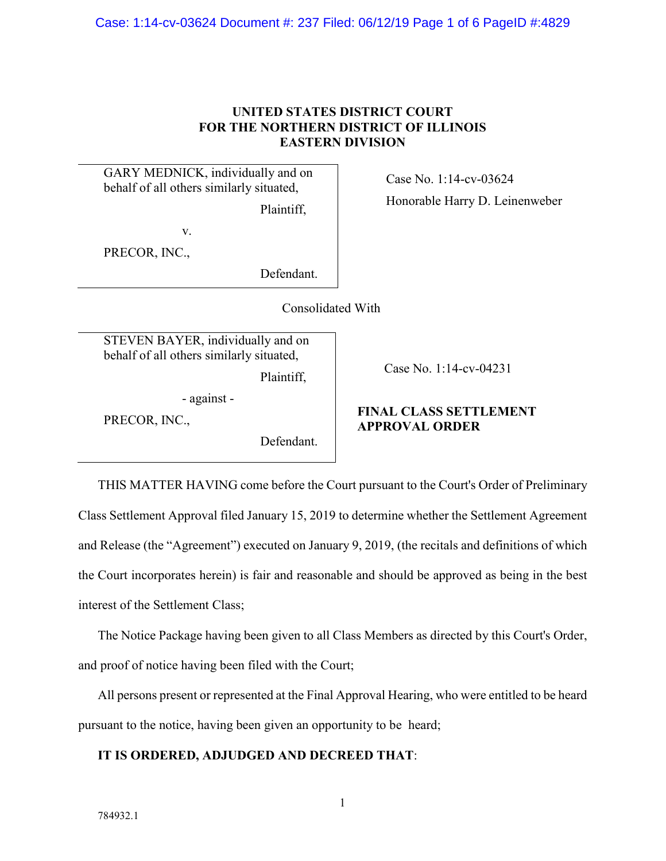Case: 1:14-cv-03624 Document #: 237 Filed: 06/12/19 Page 1 of 6 PageID #:4829

### **UNITED STATES DISTRICT COURT FOR THE NORTHERN DISTRICT OF ILLINOIS EASTERN DIVISION**

GARY MEDNICK, individually and on behalf of all others similarly situated,

Plaintiff,

v.

PRECOR, INC.,

Defendant.

Consolidated With

STEVEN BAYER, individually and on behalf of all others similarly situated, Plaintiff,

- against -

PRECOR, INC.,

Defendant.

Case No. 1:14-cv-04231

# **FINAL CLASS SETTLEMENT APPROVAL ORDER**

THIS MATTER HAVING come before the Court pursuant to the Court's Order of Preliminary Class Settlement Approval filed January 15, 2019 to determine whether the Settlement Agreement and Release (the "Agreement") executed on January 9, 2019, (the recitals and definitions of which the Court incorporates herein) is fair and reasonable and should be approved as being in the best interest of the Settlement Class;

The Notice Package having been given to all Class Members as directed by this Court's Order, and proof of notice having been filed with the Court;

All persons present or represented at the Final Approval Hearing, who were entitled to be heard pursuant to the notice, having been given an opportunity to be heard;

### **IT IS ORDERED, ADJUDGED AND DECREED THAT**:

Case No. 1:14-cv-03624

Honorable Harry D. Leinenweber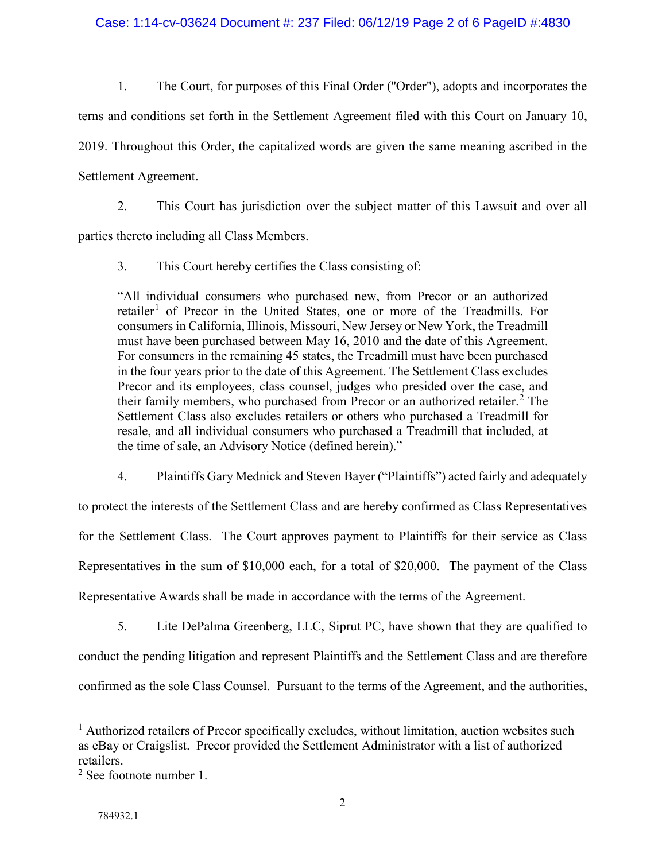1. The Court, for purposes of this Final Order (''Order"), adopts and incorporates the terns and conditions set forth in the Settlement Agreement filed with this Court on January 10, 2019. Throughout this Order, the capitalized words are given the same meaning ascribed in the Settlement Agreement.

2. This Court has jurisdiction over the subject matter of this Lawsuit and over all

parties thereto including all Class Members.

3. This Court hereby certifies the Class consisting of:

"All individual consumers who purchased new, from Precor or an authorized retailer<sup>[1](#page-1-0)</sup> of Precor in the United States, one or more of the Treadmills. For consumers in California, Illinois, Missouri, New Jersey or New York, the Treadmill must have been purchased between May 16, 2010 and the date of this Agreement. For consumers in the remaining 45 states, the Treadmill must have been purchased in the four years prior to the date of this Agreement. The Settlement Class excludes Precor and its employees, class counsel, judges who presided over the case, and their family members, who purchased from Precor or an authorized retailer.<sup>[2](#page-1-1)</sup> The Settlement Class also excludes retailers or others who purchased a Treadmill for resale, and all individual consumers who purchased a Treadmill that included, at the time of sale, an Advisory Notice (defined herein)."

4. Plaintiffs Gary Mednick and Steven Bayer ("Plaintiffs") acted fairly and adequately

to protect the interests of the Settlement Class and are hereby confirmed as Class Representatives for the Settlement Class. The Court approves payment to Plaintiffs for their service as Class Representatives in the sum of \$10,000 each, for a total of \$20,000. The payment of the Class Representative Awards shall be made in accordance with the terms of the Agreement.

5. Lite DePalma Greenberg, LLC, Siprut PC, have shown that they are qualified to conduct the pending litigation and represent Plaintiffs and the Settlement Class and are therefore confirmed as the sole Class Counsel. Pursuant to the terms of the Agreement, and the authorities,

<span id="page-1-0"></span> $<sup>1</sup>$  Authorized retailers of Precor specifically excludes, without limitation, auction websites such</sup> as eBay or Craigslist. Precor provided the Settlement Administrator with a list of authorized retailers.

<span id="page-1-1"></span><sup>2</sup> See footnote number 1.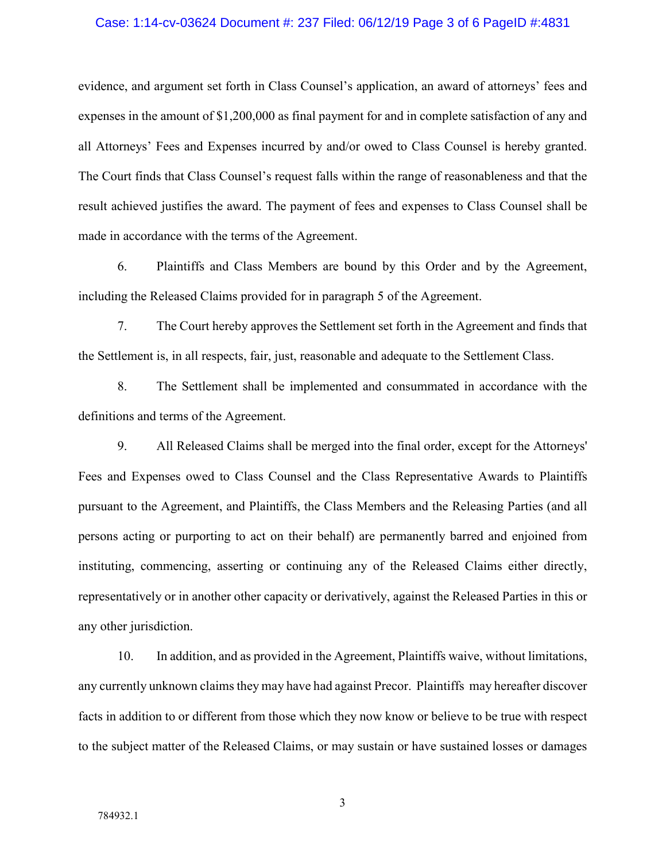#### Case: 1:14-cv-03624 Document #: 237 Filed: 06/12/19 Page 3 of 6 PageID #:4831

evidence, and argument set forth in Class Counsel's application, an award of attorneys' fees and expenses in the amount of \$1,200,000 as final payment for and in complete satisfaction of any and all Attorneys' Fees and Expenses incurred by and/or owed to Class Counsel is hereby granted. The Court finds that Class Counsel's request falls within the range of reasonableness and that the result achieved justifies the award. The payment of fees and expenses to Class Counsel shall be made in accordance with the terms of the Agreement.

6. Plaintiffs and Class Members are bound by this Order and by the Agreement, including the Released Claims provided for in paragraph 5 of the Agreement.

7. The Court hereby approves the Settlement set forth in the Agreement and finds that the Settlement is, in all respects, fair, just, reasonable and adequate to the Settlement Class.

8. The Settlement shall be implemented and consummated in accordance with the definitions and terms of the Agreement.

9. All Released Claims shall be merged into the final order, except for the Attorneys' Fees and Expenses owed to Class Counsel and the Class Representative Awards to Plaintiffs pursuant to the Agreement, and Plaintiffs, the Class Members and the Releasing Parties (and all persons acting or purporting to act on their behalf) are permanently barred and enjoined from instituting, commencing, asserting or continuing any of the Released Claims either directly, representatively or in another other capacity or derivatively, against the Released Parties in this or any other jurisdiction.

10. In addition, and as provided in the Agreement, Plaintiffs waive, without limitations, any currently unknown claims they may have had against Precor. Plaintiffs may hereafter discover facts in addition to or different from those which they now know or believe to be true with respect to the subject matter of the Released Claims, or may sustain or have sustained losses or damages

3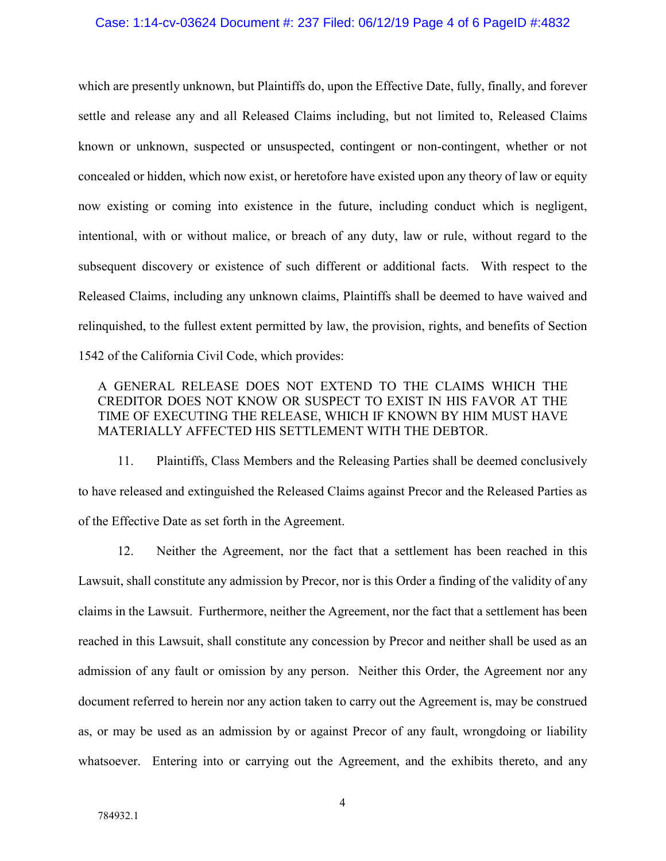#### Case: 1:14-cv-03624 Document #: 237 Filed: 06/12/19 Page 4 of 6 PageID #:4832

which are presently unknown, but Plaintiffs do, upon the Effective Date, fully, finally, and forever settle and release any and all Released Claims including, but not limited to, Released Claims known or unknown, suspected or unsuspected, contingent or non-contingent, whether or not concealed or hidden, which now exist, or heretofore have existed upon any theory of law or equity now existing or coming into existence in the future, including conduct which is negligent, intentional, with or without malice, or breach of any duty, law or rule, without regard to the subsequent discovery or existence of such different or additional facts. With respect to the Released Claims, including any unknown claims, Plaintiffs shall be deemed to have waived and relinquished, to the fullest extent permitted by law, the provision, rights, and benefits of Section 1542 of the California Civil Code, which provides:

## A GENERAL RELEASE DOES NOT EXTEND TO THE CLAIMS WHICH THE CREDITOR DOES NOT KNOW OR SUSPECT TO EXIST IN HIS FAVOR AT THE TIME OF EXECUTING THE RELEASE, WHICH IF KNOWN BY HIM MUST HAVE MATERIALLY AFFECTED HIS SETTLEMENT WITH THE DEBTOR.

11. Plaintiffs, Class Members and the Releasing Parties shall be deemed conclusively to have released and extinguished the Released Claims against Precor and the Released Parties as of the Effective Date as set forth in the Agreement.

12. Neither the Agreement, nor the fact that a settlement has been reached in this Lawsuit, shall constitute any admission by Precor, nor is this Order a finding of the validity of any claims in the Lawsuit. Furthermore, neither the Agreement, nor the fact that a settlement has been reached in this Lawsuit, shall constitute any concession by Precor and neither shall be used as an admission of any fault or omission by any person. Neither this Order, the Agreement nor any document referred to herein nor any action taken to carry out the Agreement is, may be construed as, or may be used as an admission by or against Precor of any fault, wrongdoing or liability whatsoever. Entering into or carrying out the Agreement, and the exhibits thereto, and any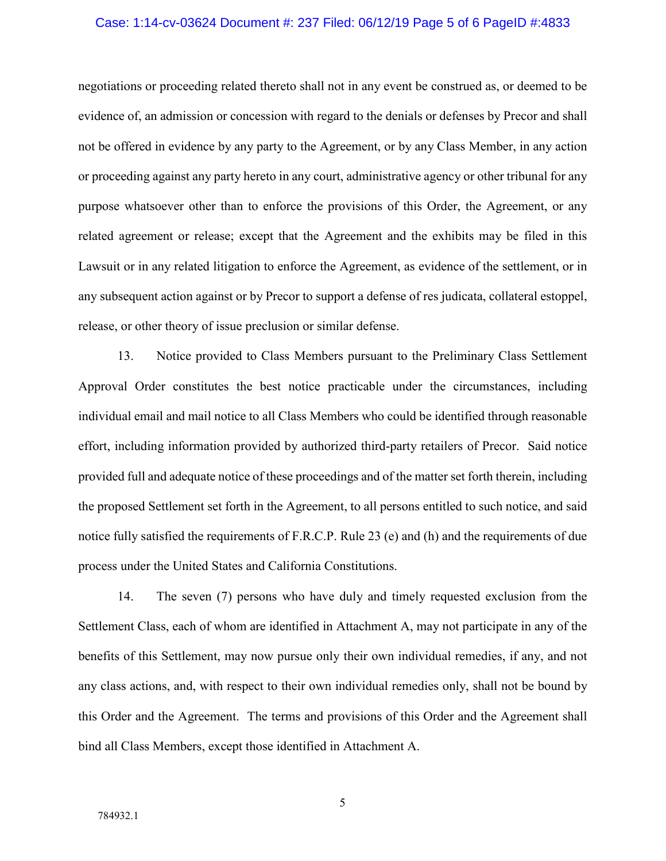#### Case: 1:14-cv-03624 Document #: 237 Filed: 06/12/19 Page 5 of 6 PageID #:4833

negotiations or proceeding related thereto shall not in any event be construed as, or deemed to be evidence of, an admission or concession with regard to the denials or defenses by Precor and shall not be offered in evidence by any party to the Agreement, or by any Class Member, in any action or proceeding against any party hereto in any court, administrative agency or other tribunal for any purpose whatsoever other than to enforce the provisions of this Order, the Agreement, or any related agreement or release; except that the Agreement and the exhibits may be filed in this Lawsuit or in any related litigation to enforce the Agreement, as evidence of the settlement, or in any subsequent action against or by Precor to support a defense of res judicata, collateral estoppel, release, or other theory of issue preclusion or similar defense.

13. Notice provided to Class Members pursuant to the Preliminary Class Settlement Approval Order constitutes the best notice practicable under the circumstances, including individual email and mail notice to all Class Members who could be identified through reasonable effort, including information provided by authorized third-party retailers of Precor. Said notice provided full and adequate notice of these proceedings and of the matter set forth therein, including the proposed Settlement set forth in the Agreement, to all persons entitled to such notice, and said notice fully satisfied the requirements of F.R.C.P. Rule 23 (e) and (h) and the requirements of due process under the United States and California Constitutions.

14. The seven (7) persons who have duly and timely requested exclusion from the Settlement Class, each of whom are identified in Attachment A, may not participate in any of the benefits of this Settlement, may now pursue only their own individual remedies, if any, and not any class actions, and, with respect to their own individual remedies only, shall not be bound by this Order and the Agreement. The terms and provisions of this Order and the Agreement shall bind all Class Members, except those identified in Attachment A.

5